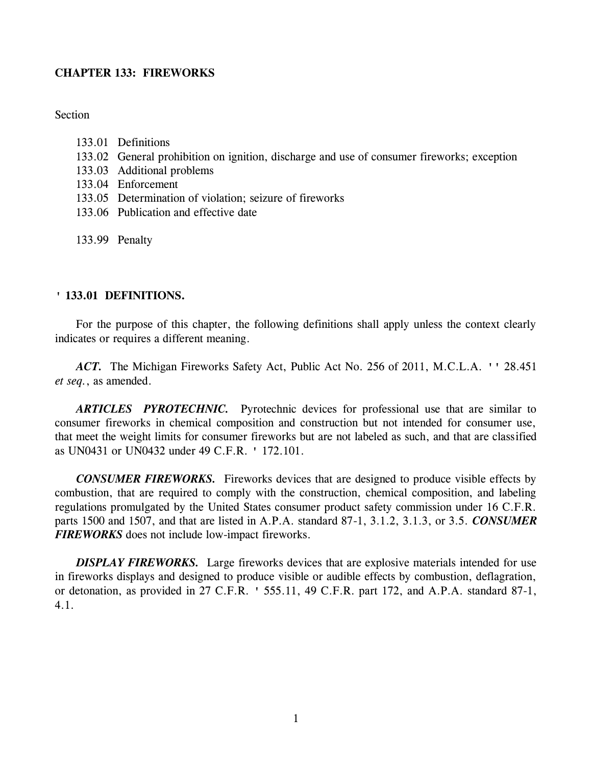# **CHAPTER 133: FIREWORKS**

# **Section**

- 133.01 Definitions
- 133.02 General prohibition on ignition, discharge and use of consumer fireworks; exception
- 133.03 Additional problems
- 133.04 Enforcement
- 133.05 Determination of violation; seizure of fireworks
- 133.06 Publication and effective date
- 133.99 Penalty

### **' 133.01 DEFINITIONS.**

For the purpose of this chapter, the following definitions shall apply unless the context clearly indicates or requires a different meaning.

*ACT.* The Michigan Fireworks Safety Act, Public Act No. 256 of 2011, M.C.L.A. '' 28.451 *et seq.*, as amended.

*ARTICLES PYROTECHNIC.* Pyrotechnic devices for professional use that are similar to consumer fireworks in chemical composition and construction but not intended for consumer use, that meet the weight limits for consumer fireworks but are not labeled as such, and that are classified as UN0431 or UN0432 under 49 C.F.R. ' 172.101.

*CONSUMER FIREWORKS.* Fireworks devices that are designed to produce visible effects by combustion, that are required to comply with the construction, chemical composition, and labeling regulations promulgated by the United States consumer product safety commission under 16 C.F.R. parts 1500 and 1507, and that are listed in A.P.A. standard 87-1, 3.1.2, 3.1.3, or 3.5. *CONSUMER FIREWORKS* does not include low-impact fireworks.

**DISPLAY FIREWORKS.** Large fireworks devices that are explosive materials intended for use in fireworks displays and designed to produce visible or audible effects by combustion, deflagration, or detonation, as provided in 27 C.F.R. ' 555.11, 49 C.F.R. part 172, and A.P.A. standard 87-1, 4.1.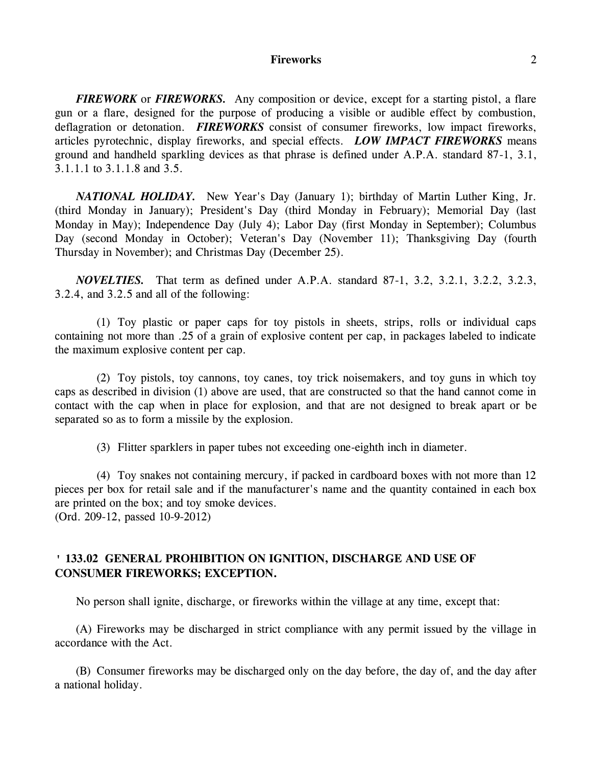### **Fireworks** 2

*FIREWORK* or *FIREWORKS.* Any composition or device, except for a starting pistol, a flare gun or a flare, designed for the purpose of producing a visible or audible effect by combustion, deflagration or detonation. **FIREWORKS** consist of consumer fireworks, low impact fireworks, articles pyrotechnic, display fireworks, and special effects. *LOW IMPACT FIREWORKS* means ground and handheld sparkling devices as that phrase is defined under A.P.A. standard 87-1, 3.1, 3.1.1.1 to 3.1.1.8 and 3.5.

*NATIONAL HOLIDAY.* New Year's Day (January 1); birthday of Martin Luther King, Jr. (third Monday in January); President's Day (third Monday in February); Memorial Day (last Monday in May); Independence Day (July 4); Labor Day (first Monday in September); Columbus Day (second Monday in October); Veteran's Day (November 11); Thanksgiving Day (fourth Thursday in November); and Christmas Day (December 25).

*NOVELTIES.* That term as defined under A.P.A. standard 87-1, 3.2, 3.2.1, 3.2.2, 3.2.3, 3.2.4, and 3.2.5 and all of the following:

(1) Toy plastic or paper caps for toy pistols in sheets, strips, rolls or individual caps containing not more than .25 of a grain of explosive content per cap, in packages labeled to indicate the maximum explosive content per cap.

(2) Toy pistols, toy cannons, toy canes, toy trick noisemakers, and toy guns in which toy caps as described in division (1) above are used, that are constructed so that the hand cannot come in contact with the cap when in place for explosion, and that are not designed to break apart or be separated so as to form a missile by the explosion.

(3) Flitter sparklers in paper tubes not exceeding one-eighth inch in diameter.

(4) Toy snakes not containing mercury, if packed in cardboard boxes with not more than 12 pieces per box for retail sale and if the manufacturer's name and the quantity contained in each box are printed on the box; and toy smoke devices.

(Ord. 209-12, passed 10-9-2012)

# **' 133.02 GENERAL PROHIBITION ON IGNITION, DISCHARGE AND USE OF CONSUMER FIREWORKS; EXCEPTION.**

No person shall ignite, discharge, or fireworks within the village at any time, except that:

(A) Fireworks may be discharged in strict compliance with any permit issued by the village in accordance with the Act.

(B) Consumer fireworks may be discharged only on the day before, the day of, and the day after a national holiday.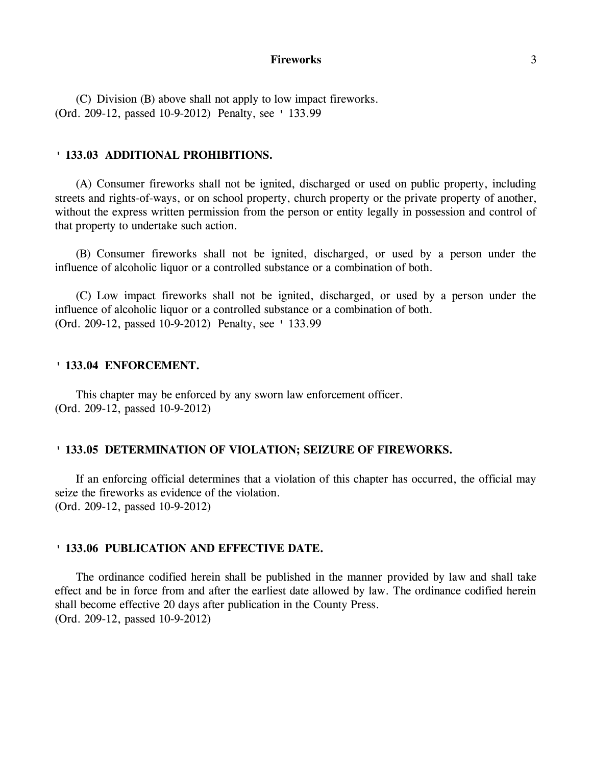#### **Fireworks** 3

(C) Division (B) above shall not apply to low impact fireworks. (Ord. 209-12, passed 10-9-2012) Penalty, see ' 133.99

#### **' 133.03 ADDITIONAL PROHIBITIONS.**

(A) Consumer fireworks shall not be ignited, discharged or used on public property, including streets and rights-of-ways, or on school property, church property or the private property of another, without the express written permission from the person or entity legally in possession and control of that property to undertake such action.

(B) Consumer fireworks shall not be ignited, discharged, or used by a person under the influence of alcoholic liquor or a controlled substance or a combination of both.

(C) Low impact fireworks shall not be ignited, discharged, or used by a person under the influence of alcoholic liquor or a controlled substance or a combination of both. (Ord. 209-12, passed 10-9-2012) Penalty, see ' 133.99

#### **' 133.04 ENFORCEMENT.**

This chapter may be enforced by any sworn law enforcement officer. (Ord. 209-12, passed 10-9-2012)

### **' 133.05 DETERMINATION OF VIOLATION; SEIZURE OF FIREWORKS.**

If an enforcing official determines that a violation of this chapter has occurred, the official may seize the fireworks as evidence of the violation. (Ord. 209-12, passed 10-9-2012)

#### **' 133.06 PUBLICATION AND EFFECTIVE DATE.**

The ordinance codified herein shall be published in the manner provided by law and shall take effect and be in force from and after the earliest date allowed by law. The ordinance codified herein shall become effective 20 days after publication in the County Press. (Ord. 209-12, passed 10-9-2012)